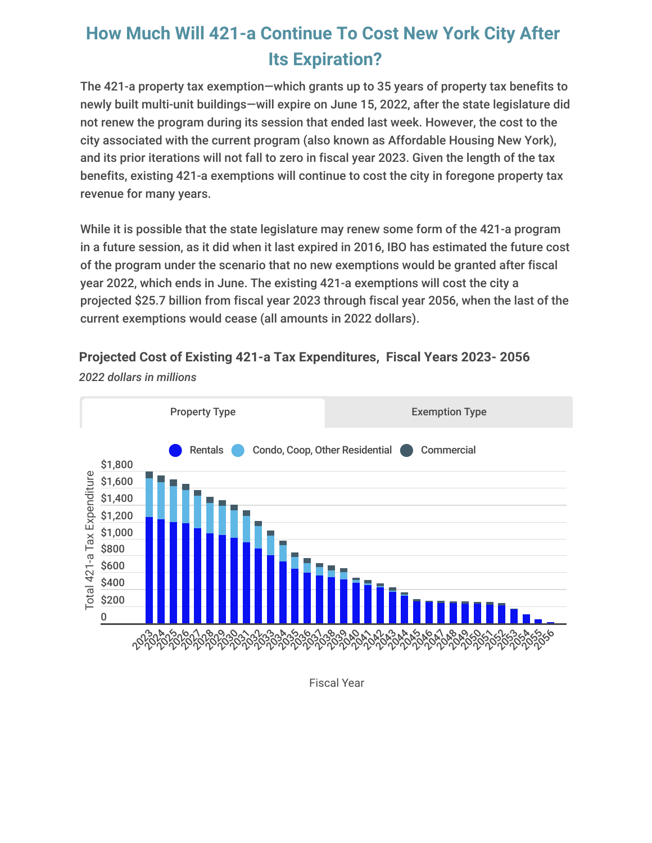## **How Much Will 421-a Continue To Cost New York City After Its Expiration?**

The 421-a property tax exemption—which grants up to 35 years of property tax benefits to newly built multi-unit buildings—will expire on June 15, 2022, after the state legislature did not renew the program during its session that ended last week. However, the cost to the city associated with the current program (also known as Affordable Housing New York), and its prior iterations will not fall to zero in fiscal year 2023. Given the length of the tax benefits, existing 421-a exemptions will continue to cost the city in foregone property tax revenue for many years.

While it is possible that the state legislature may renew some form of the 421-a program in a future session, as it did when it last expired in 2016, IBO has estimated the future cost of the program under the scenario that no new exemptions would be granted after fiscal year 2022, which ends in June. The existing 421-a exemptions will cost the city a projected \$25.7 billion from fiscal year 2023 through fiscal year 2056, when the last of the current exemptions would cease (all amounts in 2022 dollars).

**Projected Cost of Existing 421-a Tax Expenditures, Fiscal Years 2023- 2056**



*2022 dollars in millions*

Fiscal Year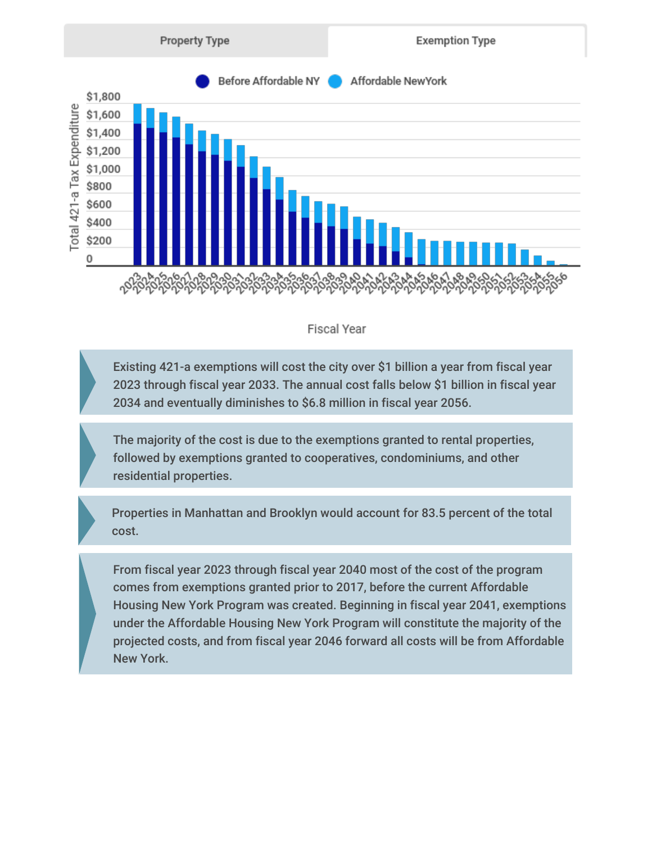

## $\mathbf{r}$  and  $\mathbf{r}$

Existing 421-a exemptions will cost the city over \$1 billion a year from fiscal year 2023 through fiscal year 2033. The annual cost falls below \$1 billion in fiscal year 2034 and eventually diminishes to \$6.8 million in fiscal year 2056.

The majority of the cost is due to the exemptions granted to rental properties, followed by exemptions granted to cooperatives, condominiums, and other residential properties.

Properties in Manhattan and Brooklyn would account for 83.5 percent of the total cost.

From fiscal year 2023 through fiscal year 2040 most of the cost of the program comes from exemptions granted prior to 2017, before the current Affordable Housing New York Program was created. Beginning in fiscal year 2041, exemptions under the Affordable Housing New York Program will constitute the majority of the projected costs, and from fiscal year 2046 forward all costs will be from Affordable New York.